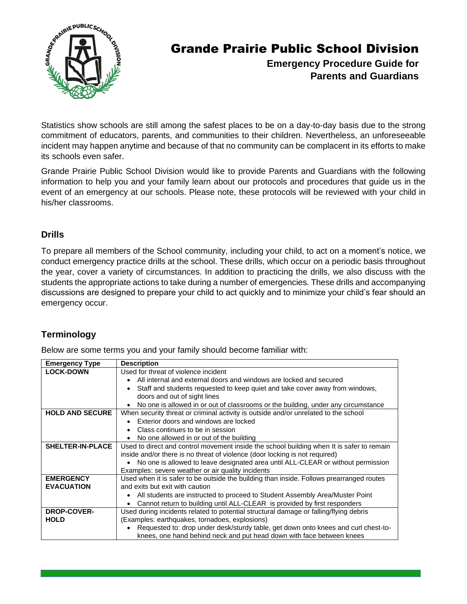

## Grande Prairie Public School Division

**Emergency Procedure Guide for Parents and Guardians**

Statistics show schools are still among the safest places to be on a day-to-day basis due to the strong commitment of educators, parents, and communities to their children. Nevertheless, an unforeseeable incident may happen anytime and because of that no community can be complacent in its efforts to make its schools even safer.

Grande Prairie Public School Division would like to provide Parents and Guardians with the following information to help you and your family learn about our protocols and procedures that guide us in the event of an emergency at our schools. Please note, these protocols will be reviewed with your child in his/her classrooms.

### **Drills**

To prepare all members of the School community, including your child, to act on a moment's notice, we conduct emergency practice drills at the school. These drills, which occur on a periodic basis throughout the year, cover a variety of circumstances. In addition to practicing the drills, we also discuss with the students the appropriate actions to take during a number of emergencies. These drills and accompanying discussions are designed to prepare your child to act quickly and to minimize your child's fear should an emergency occur.

### **Terminology**

Below are some terms you and your family should become familiar with:

| <b>Emergency Type</b>   | <b>Description</b>                                                                                           |
|-------------------------|--------------------------------------------------------------------------------------------------------------|
| <b>LOCK-DOWN</b>        | Used for threat of violence incident                                                                         |
|                         | All internal and external doors and windows are locked and secured                                           |
|                         | Staff and students requested to keep quiet and take cover away from windows,<br>doors and out of sight lines |
|                         | No one is allowed in or out of classrooms or the building, under any circumstance                            |
| <b>HOLD AND SECURE</b>  | When security threat or criminal activity is outside and/or unrelated to the school                          |
|                         | Exterior doors and windows are locked                                                                        |
|                         | Class continues to be in session                                                                             |
|                         | No one allowed in or out of the building<br>$\bullet$                                                        |
| <b>SHELTER-IN-PLACE</b> | Used to direct and control movement inside the school building when It is safer to remain                    |
|                         | inside and/or there is no threat of violence (door locking is not required)                                  |
|                         | No one is allowed to leave designated area until ALL-CLEAR or without permission<br>$\bullet$                |
|                         | Examples: severe weather or air quality incidents                                                            |
| <b>EMERGENCY</b>        | Used when it is safer to be outside the building than inside. Follows prearranged routes                     |
| <b>EVACUATION</b>       | and exits but exit with caution                                                                              |
|                         | All students are instructed to proceed to Student Assembly Area/Muster Point                                 |
|                         | Cannot return to building until ALL-CLEAR is provided by first responders                                    |
| <b>DROP-COVER-</b>      | Used during incidents related to potential structural damage or falling/flying debris                        |
| <b>HOLD</b>             | (Examples: earthquakes, tornadoes, explosions)                                                               |
|                         | Requested to: drop under desk/sturdy table, get down onto knees and curl chest-to-                           |
|                         | knees, one hand behind neck and put head down with face between knees                                        |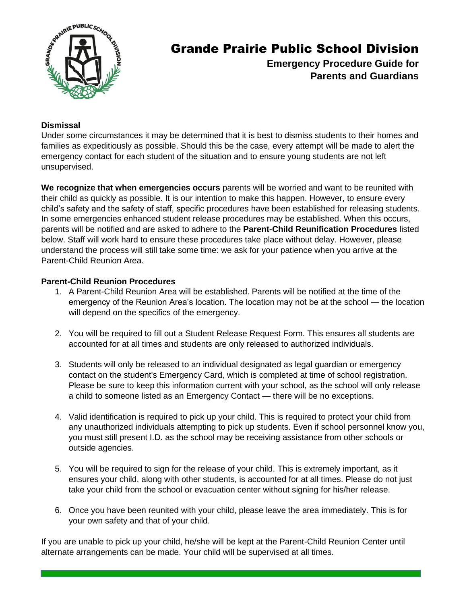

## Grande Prairie Public School Division

**Emergency Procedure Guide for Parents and Guardians**

#### **Dismissal**

Under some circumstances it may be determined that it is best to dismiss students to their homes and families as expeditiously as possible. Should this be the case, every attempt will be made to alert the emergency contact for each student of the situation and to ensure young students are not left unsupervised.

**We recognize that when emergencies occurs** parents will be worried and want to be reunited with their child as quickly as possible. It is our intention to make this happen. However, to ensure every child's safety and the safety of staff, specific procedures have been established for releasing students. In some emergencies enhanced student release procedures may be established. When this occurs, parents will be notified and are asked to adhere to the **Parent-Child Reunification Procedures** listed below. Staff will work hard to ensure these procedures take place without delay. However, please understand the process will still take some time: we ask for your patience when you arrive at the Parent-Child Reunion Area.

#### **Parent-Child Reunion Procedures**

- 1. A Parent-Child Reunion Area will be established. Parents will be notified at the time of the emergency of the Reunion Area's location. The location may not be at the school — the location will depend on the specifics of the emergency.
- 2. You will be required to fill out a Student Release Request Form. This ensures all students are accounted for at all times and students are only released to authorized individuals.
- 3. Students will only be released to an individual designated as legal guardian or emergency contact on the student's Emergency Card, which is completed at time of school registration. Please be sure to keep this information current with your school, as the school will only release a child to someone listed as an Emergency Contact — there will be no exceptions.
- 4. Valid identification is required to pick up your child. This is required to protect your child from any unauthorized individuals attempting to pick up students. Even if school personnel know you, you must still present I.D. as the school may be receiving assistance from other schools or outside agencies.
- 5. You will be required to sign for the release of your child. This is extremely important, as it ensures your child, along with other students, is accounted for at all times. Please do not just take your child from the school or evacuation center without signing for his/her release.
- 6. Once you have been reunited with your child, please leave the area immediately. This is for your own safety and that of your child.

If you are unable to pick up your child, he/she will be kept at the Parent-Child Reunion Center until alternate arrangements can be made. Your child will be supervised at all times.